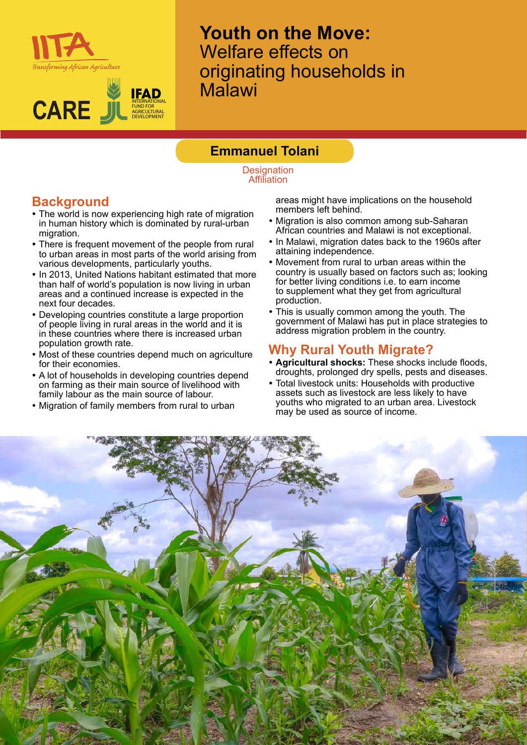



**Youth on the Move:**  Welfare effects on originating households in Malawi

## **Emmanuel Tolani**

**Designation Affiliation** 

# **Background**

- The world is now experiencing high rate of migration in human history which is dominated by rural-urban migration.
- There is frequent movement of the people from rural to urban areas in most parts of the world arising from various developments, particularly youths.
- In 2013, United Nations habitant estimated that more than half of world's population is now living in urban areas and a continued increase is expected in the next four decades.
- Developing countries constitute a large proportion of people living in rural areas in the world and it is in these countries where there is increased urban population growth rate.
- Most of these countries depend much on agriculture for their economies.
- A lot of households in developing countries depend on farming as their main source of livelihood with family labour as the main source of labour.
- Migration of family members from rural to urban

areas might have implications on the household members left behind.

- Migration is also common among sub-Saharan African countries and Malawi is not exceptional.
- In Malawi, migration dates back to the 1960s after attaining independence.
- Movement from rural to urban areas within the country is usually based on factors such as; looking for better living conditions i.e. to earn income to supplement what they get from agricultural production.
- This is usually common among the youth. The government of Malawi has put in place strategies to address migration problem in the country.

### **Why Rural Youth Migrate?**

- **Agricultural shocks:** These shocks include floods, droughts, prolonged dry spells, pests and diseases.
- Total livestock units: Households with productive assets such as livestock are less likely to have youths who migrated to an urban area. Livestock may be used as source of income.